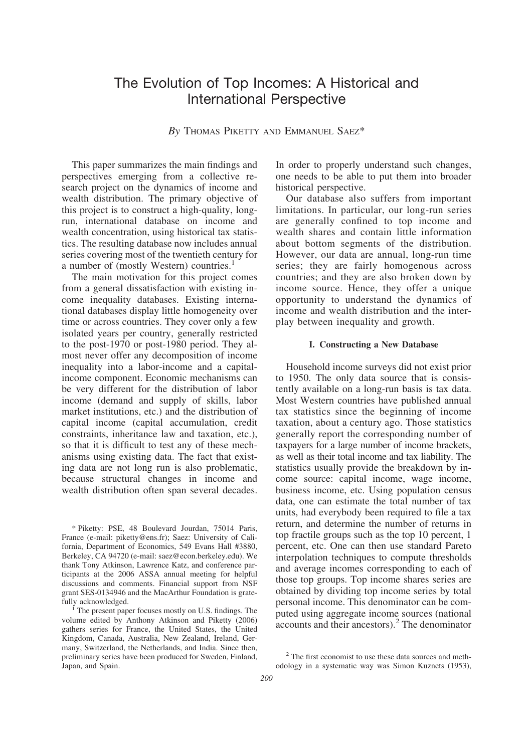# The Evolution of Top Incomes: A Historical and International Perspective

*By* THOMAS PIKETTY AND EMMANUEL SAEZ\*

This paper summarizes the main findings and perspectives emerging from a collective research project on the dynamics of income and wealth distribution. The primary objective of this project is to construct a high-quality, longrun, international database on income and wealth concentration, using historical tax statistics. The resulting database now includes annual series covering most of the twentieth century for a number of (mostly Western) countries.<sup>1</sup>

The main motivation for this project comes from a general dissatisfaction with existing income inequality databases. Existing international databases display little homogeneity over time or across countries. They cover only a few isolated years per country, generally restricted to the post-1970 or post-1980 period. They almost never offer any decomposition of income inequality into a labor-income and a capitalincome component. Economic mechanisms can be very different for the distribution of labor income (demand and supply of skills, labor market institutions, etc.) and the distribution of capital income (capital accumulation, credit constraints, inheritance law and taxation, etc.), so that it is difficult to test any of these mechanisms using existing data. The fact that existing data are not long run is also problematic, because structural changes in income and wealth distribution often span several decades.

\* Piketty: PSE, 48 Boulevard Jourdan, 75014 Paris, France (e-mail: piketty@ens.fr); Saez: University of California, Department of Economics, 549 Evans Hall #3880, Berkeley, CA 94720 (e-mail: saez@econ.berkeley.edu). We thank Tony Atkinson, Lawrence Katz, and conference participants at the 2006 ASSA annual meeting for helpful discussions and comments. Financial support from NSF grant SES-0134946 and the MacArthur Foundation is grate-

fully acknowledged.<br><sup>1</sup> The present paper focuses mostly on U.S. findings. The volume edited by Anthony Atkinson and Piketty (2006) gathers series for France, the United States, the United Kingdom, Canada, Australia, New Zealand, Ireland, Germany, Switzerland, the Netherlands, and India. Since then, preliminary series have been produced for Sweden, Finland, Japan, and Spain.

In order to properly understand such changes, one needs to be able to put them into broader historical perspective.

Our database also suffers from important limitations. In particular, our long-run series are generally confined to top income and wealth shares and contain little information about bottom segments of the distribution. However, our data are annual, long-run time series; they are fairly homogenous across countries; and they are also broken down by income source. Hence, they offer a unique opportunity to understand the dynamics of income and wealth distribution and the interplay between inequality and growth.

### **I. Constructing a New Database**

Household income surveys did not exist prior to 1950. The only data source that is consistently available on a long-run basis is tax data. Most Western countries have published annual tax statistics since the beginning of income taxation, about a century ago. Those statistics generally report the corresponding number of taxpayers for a large number of income brackets, as well as their total income and tax liability. The statistics usually provide the breakdown by income source: capital income, wage income, business income, etc. Using population census data, one can estimate the total number of tax units, had everybody been required to file a tax return, and determine the number of returns in top fractile groups such as the top 10 percent, 1 percent, etc. One can then use standard Pareto interpolation techniques to compute thresholds and average incomes corresponding to each of those top groups. Top income shares series are obtained by dividing top income series by total personal income. This denominator can be computed using aggregate income sources (national accounts and their ancestors).2 The denominator

<sup>2</sup> The first economist to use these data sources and methodology in a systematic way was Simon Kuznets (1953),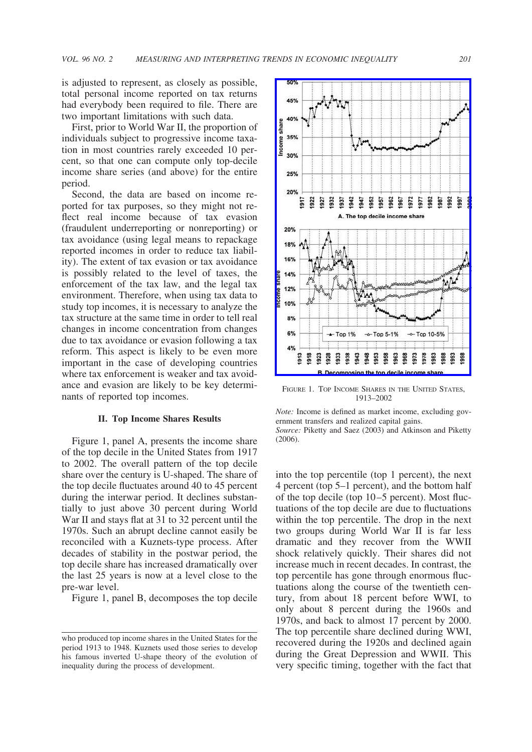is adjusted to represent, as closely as possible, total personal income reported on tax returns had everybody been required to file. There are two important limitations with such data.

First, prior to World War II, the proportion of individuals subject to progressive income taxation in most countries rarely exceeded 10 percent, so that one can compute only top-decile income share series (and above) for the entire period.

Second, the data are based on income reported for tax purposes, so they might not reflect real income because of tax evasion (fraudulent underreporting or nonreporting) or tax avoidance (using legal means to repackage reported incomes in order to reduce tax liability). The extent of tax evasion or tax avoidance is possibly related to the level of taxes, the enforcement of the tax law, and the legal tax environment. Therefore, when using tax data to study top incomes, it is necessary to analyze the tax structure at the same time in order to tell real changes in income concentration from changes due to tax avoidance or evasion following a tax reform. This aspect is likely to be even more important in the case of developing countries where tax enforcement is weaker and tax avoidance and evasion are likely to be key determinants of reported top incomes.

## **II. Top Income Shares Results**

Figure 1, panel A, presents the income share of the top decile in the United States from 1917 to 2002. The overall pattern of the top decile share over the century is U-shaped. The share of the top decile fluctuates around 40 to 45 percent during the interwar period. It declines substantially to just above 30 percent during World War II and stays flat at 31 to 32 percent until the 1970s. Such an abrupt decline cannot easily be reconciled with a Kuznets-type process. After decades of stability in the postwar period, the top decile share has increased dramatically over the last 25 years is now at a level close to the pre-war level.

Figure 1, panel B, decomposes the top decile



FIGURE 1. TOP INCOME SHARES IN THE UNITED STATES, 1913–2002

*Note:* Income is defined as market income, excluding government transfers and realized capital gains. *Source:* Piketty and Saez (2003) and Atkinson and Piketty (2006).

into the top percentile (top 1 percent), the next 4 percent (top 5–1 percent), and the bottom half of the top decile (top  $10-5$  percent). Most fluctuations of the top decile are due to fluctuations within the top percentile. The drop in the next two groups during World War II is far less dramatic and they recover from the WWII shock relatively quickly. Their shares did not increase much in recent decades. In contrast, the top percentile has gone through enormous fluctuations along the course of the twentieth century, from about 18 percent before WWI, to only about 8 percent during the 1960s and 1970s, and back to almost 17 percent by 2000. The top percentile share declined during WWI, recovered during the 1920s and declined again during the Great Depression and WWII. This very specific timing, together with the fact that

who produced top income shares in the United States for the period 1913 to 1948. Kuznets used those series to develop his famous inverted U-shape theory of the evolution of inequality during the process of development.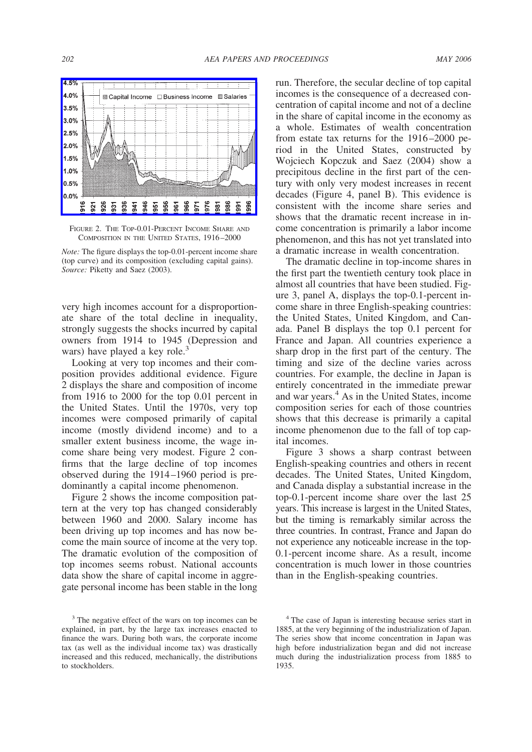

FIGURE 2. THE TOP-0.01-PERCENT INCOME SHARE AND COMPOSITION IN THE UNITED STATES, 1916 –2000

*Note:* The figure displays the top-0.01-percent income share (top curve) and its composition (excluding capital gains). *Source:* Piketty and Saez (2003).

very high incomes account for a disproportionate share of the total decline in inequality, strongly suggests the shocks incurred by capital owners from 1914 to 1945 (Depression and wars) have played a key role.<sup>3</sup>

Looking at very top incomes and their composition provides additional evidence. Figure 2 displays the share and composition of income from 1916 to 2000 for the top 0.01 percent in the United States. Until the 1970s, very top incomes were composed primarily of capital income (mostly dividend income) and to a smaller extent business income, the wage income share being very modest. Figure 2 confirms that the large decline of top incomes observed during the 1914 –1960 period is predominantly a capital income phenomenon.

Figure 2 shows the income composition pattern at the very top has changed considerably between 1960 and 2000. Salary income has been driving up top incomes and has now become the main source of income at the very top. The dramatic evolution of the composition of top incomes seems robust. National accounts data show the share of capital income in aggregate personal income has been stable in the long

run. Therefore, the secular decline of top capital incomes is the consequence of a decreased concentration of capital income and not of a decline in the share of capital income in the economy as a whole. Estimates of wealth concentration from estate tax returns for the 1916 –2000 period in the United States, constructed by Wojciech Kopczuk and Saez (2004) show a precipitous decline in the first part of the century with only very modest increases in recent decades (Figure 4, panel B). This evidence is consistent with the income share series and shows that the dramatic recent increase in income concentration is primarily a labor income phenomenon, and this has not yet translated into a dramatic increase in wealth concentration.

The dramatic decline in top-income shares in the first part the twentieth century took place in almost all countries that have been studied. Figure 3, panel A, displays the top-0.1-percent income share in three English-speaking countries: the United States, United Kingdom, and Canada. Panel B displays the top 0.1 percent for France and Japan. All countries experience a sharp drop in the first part of the century. The timing and size of the decline varies across countries. For example, the decline in Japan is entirely concentrated in the immediate prewar and war years.<sup>4</sup> As in the United States, income composition series for each of those countries shows that this decrease is primarily a capital income phenomenon due to the fall of top capital incomes.

Figure 3 shows a sharp contrast between English-speaking countries and others in recent decades. The United States, United Kingdom, and Canada display a substantial increase in the top-0.1-percent income share over the last 25 years. This increase is largest in the United States, but the timing is remarkably similar across the three countries. In contrast, France and Japan do not experience any noticeable increase in the top-0.1-percent income share. As a result, income concentration is much lower in those countries than in the English-speaking countries.

<sup>&</sup>lt;sup>3</sup> The negative effect of the wars on top incomes can be explained, in part, by the large tax increases enacted to finance the wars. During both wars, the corporate income tax (as well as the individual income tax) was drastically increased and this reduced, mechanically, the distributions to stockholders.

<sup>4</sup> The case of Japan is interesting because series start in 1885, at the very beginning of the industrialization of Japan. The series show that income concentration in Japan was high before industrialization began and did not increase much during the industrialization process from 1885 to 1935.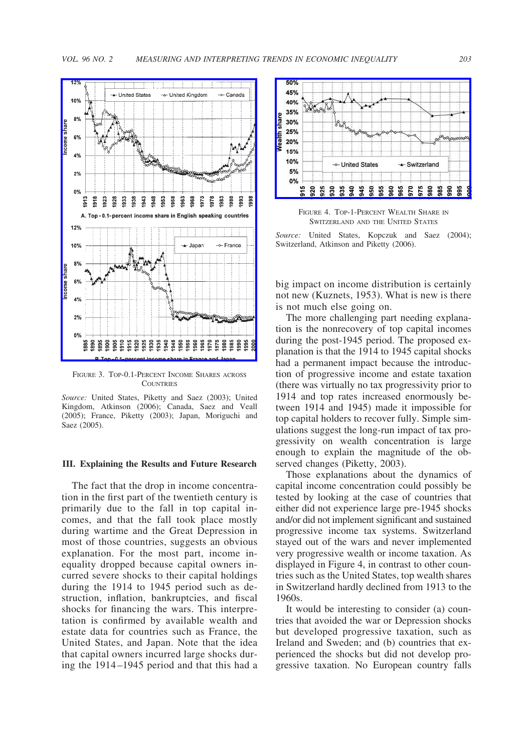

FIGURE 3. TOP-0.1-PERCENT INCOME SHARES ACROSS **COUNTRIES** 

*Source:* United States, Piketty and Saez (2003); United Kingdom, Atkinson (2006); Canada, Saez and Veall (2005); France, Piketty (2003); Japan, Moriguchi and Saez (2005).

### **III. Explaining the Results and Future Research**

The fact that the drop in income concentration in the first part of the twentieth century is primarily due to the fall in top capital incomes, and that the fall took place mostly during wartime and the Great Depression in most of those countries, suggests an obvious explanation. For the most part, income inequality dropped because capital owners incurred severe shocks to their capital holdings during the 1914 to 1945 period such as destruction, inflation, bankruptcies, and fiscal shocks for financing the wars. This interpretation is confirmed by available wealth and estate data for countries such as France, the United States, and Japan. Note that the idea that capital owners incurred large shocks during the 1914 –1945 period and that this had a



FIGURE 4. TOP-1-PERCENT WEALTH SHARE IN SWITZERLAND AND THE UNITED STATES

*Source:* United States, Kopczuk and Saez (2004); Switzerland, Atkinson and Piketty (2006).

big impact on income distribution is certainly not new (Kuznets, 1953). What is new is there is not much else going on.

The more challenging part needing explanation is the nonrecovery of top capital incomes during the post-1945 period. The proposed explanation is that the 1914 to 1945 capital shocks had a permanent impact because the introduction of progressive income and estate taxation (there was virtually no tax progressivity prior to 1914 and top rates increased enormously between 1914 and 1945) made it impossible for top capital holders to recover fully. Simple simulations suggest the long-run impact of tax progressivity on wealth concentration is large enough to explain the magnitude of the observed changes (Piketty, 2003).

Those explanations about the dynamics of capital income concentration could possibly be tested by looking at the case of countries that either did not experience large pre-1945 shocks and/or did not implement significant and sustained progressive income tax systems. Switzerland stayed out of the wars and never implemented very progressive wealth or income taxation. As displayed in Figure 4, in contrast to other countries such as the United States, top wealth shares in Switzerland hardly declined from 1913 to the 1960s.

It would be interesting to consider (a) countries that avoided the war or Depression shocks but developed progressive taxation, such as Ireland and Sweden; and (b) countries that experienced the shocks but did not develop progressive taxation. No European country falls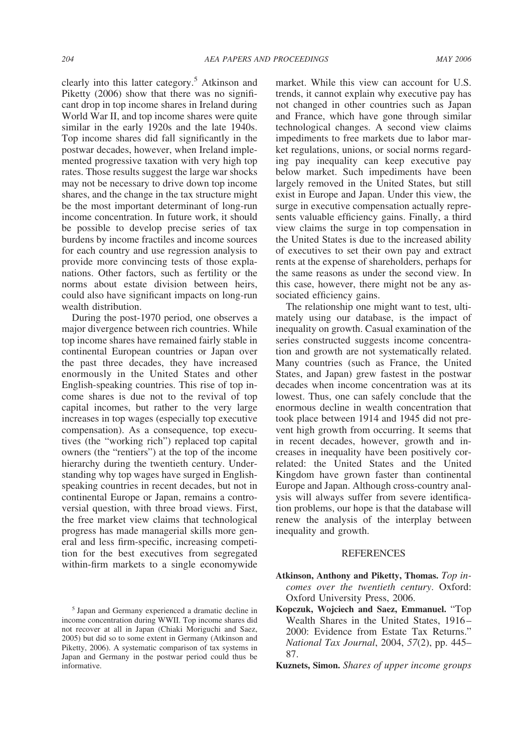clearly into this latter category.<sup>5</sup> Atkinson and Piketty (2006) show that there was no significant drop in top income shares in Ireland during World War II, and top income shares were quite similar in the early 1920s and the late 1940s. Top income shares did fall significantly in the postwar decades, however, when Ireland implemented progressive taxation with very high top rates. Those results suggest the large war shocks may not be necessary to drive down top income shares, and the change in the tax structure might be the most important determinant of long-run income concentration. In future work, it should be possible to develop precise series of tax burdens by income fractiles and income sources for each country and use regression analysis to provide more convincing tests of those explanations. Other factors, such as fertility or the norms about estate division between heirs, could also have significant impacts on long-run wealth distribution.

During the post-1970 period, one observes a major divergence between rich countries. While top income shares have remained fairly stable in continental European countries or Japan over the past three decades, they have increased enormously in the United States and other English-speaking countries. This rise of top income shares is due not to the revival of top capital incomes, but rather to the very large increases in top wages (especially top executive compensation). As a consequence, top executives (the "working rich") replaced top capital owners (the "rentiers") at the top of the income hierarchy during the twentieth century. Understanding why top wages have surged in Englishspeaking countries in recent decades, but not in continental Europe or Japan, remains a controversial question, with three broad views. First, the free market view claims that technological progress has made managerial skills more general and less firm-specific, increasing competition for the best executives from segregated within-firm markets to a single economywide

<sup>5</sup> Japan and Germany experienced a dramatic decline in income concentration during WWII. Top income shares did not recover at all in Japan (Chiaki Moriguchi and Saez, 2005) but did so to some extent in Germany (Atkinson and Piketty, 2006). A systematic comparison of tax systems in Japan and Germany in the postwar period could thus be informative.

market. While this view can account for U.S. trends, it cannot explain why executive pay has not changed in other countries such as Japan and France, which have gone through similar technological changes. A second view claims impediments to free markets due to labor market regulations, unions, or social norms regarding pay inequality can keep executive pay below market. Such impediments have been largely removed in the United States, but still exist in Europe and Japan. Under this view, the surge in executive compensation actually represents valuable efficiency gains. Finally, a third view claims the surge in top compensation in the United States is due to the increased ability of executives to set their own pay and extract rents at the expense of shareholders, perhaps for the same reasons as under the second view. In this case, however, there might not be any associated efficiency gains.

The relationship one might want to test, ultimately using our database, is the impact of inequality on growth. Casual examination of the series constructed suggests income concentration and growth are not systematically related. Many countries (such as France, the United States, and Japan) grew fastest in the postwar decades when income concentration was at its lowest. Thus, one can safely conclude that the enormous decline in wealth concentration that took place between 1914 and 1945 did not prevent high growth from occurring. It seems that in recent decades, however, growth and increases in inequality have been positively correlated: the United States and the United Kingdom have grown faster than continental Europe and Japan. Although cross-country analysis will always suffer from severe identification problems, our hope is that the database will renew the analysis of the interplay between inequality and growth.

#### REFERENCES

- **Atkinson, Anthony and Piketty, Thomas.** *Top incomes over the twentieth century*. Oxford: Oxford University Press, 2006.
- **Kopczuk, Wojciech and Saez, Emmanuel.** "Top Wealth Shares in the United States, 1916 – 2000: Evidence from Estate Tax Returns." *National Tax Journal*, 2004, *57*(2), pp. 445– 87.

**Kuznets, Simon.** *Shares of upper income groups*